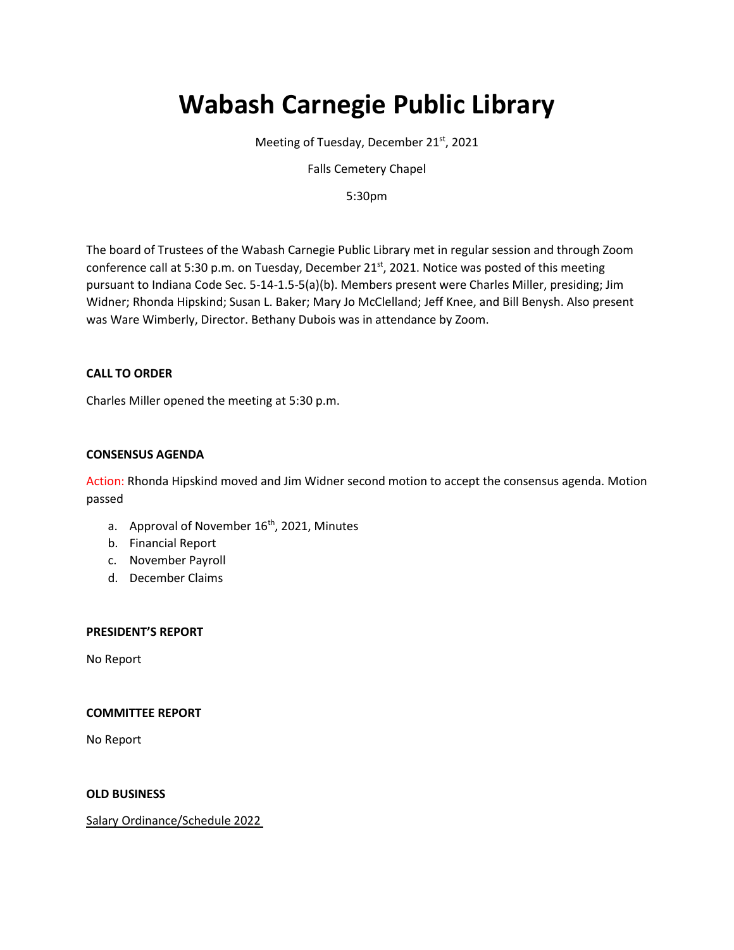# **Wabash Carnegie Public Library**

Meeting of Tuesday, December 21st, 2021

Falls Cemetery Chapel

5:30pm

The board of Trustees of the Wabash Carnegie Public Library met in regular session and through Zoom conference call at 5:30 p.m. on Tuesday, December 21<sup>st</sup>, 2021. Notice was posted of this meeting pursuant to Indiana Code Sec. 5-14-1.5-5(a)(b). Members present were Charles Miller, presiding; Jim Widner; Rhonda Hipskind; Susan L. Baker; Mary Jo McClelland; Jeff Knee, and Bill Benysh. Also present was Ware Wimberly, Director. Bethany Dubois was in attendance by Zoom.

# **CALL TO ORDER**

Charles Miller opened the meeting at 5:30 p.m.

## **CONSENSUS AGENDA**

Action: Rhonda Hipskind moved and Jim Widner second motion to accept the consensus agenda. Motion passed

- a. Approval of November  $16<sup>th</sup>$ , 2021, Minutes
- b. Financial Report
- c. November Payroll
- d. December Claims

#### **PRESIDENT'S REPORT**

No Report

#### **COMMITTEE REPORT**

No Report

## **OLD BUSINESS**

Salary Ordinance/Schedule 2022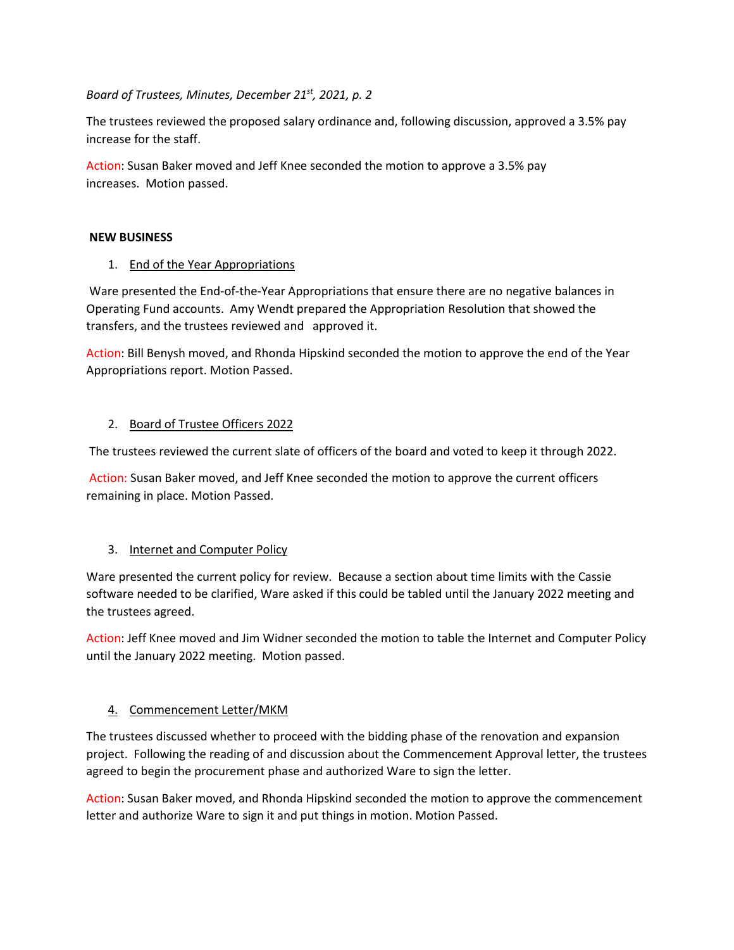*Board of Trustees, Minutes, December 21st, 2021, p. 2*

The trustees reviewed the proposed salary ordinance and, following discussion, approved a 3.5% pay increase for the staff.

Action: Susan Baker moved and Jeff Knee seconded the motion to approve a 3.5% pay increases. Motion passed.

## **NEW BUSINESS**

# 1. End of the Year Appropriations

Ware presented the End-of-the-Year Appropriations that ensure there are no negative balances in Operating Fund accounts. Amy Wendt prepared the Appropriation Resolution that showed the transfers, and the trustees reviewed and approved it.

Action: Bill Benysh moved, and Rhonda Hipskind seconded the motion to approve the end of the Year Appropriations report. Motion Passed.

# 2. Board of Trustee Officers 2022

The trustees reviewed the current slate of officers of the board and voted to keep it through 2022.

Action: Susan Baker moved, and Jeff Knee seconded the motion to approve the current officers remaining in place. Motion Passed.

# 3. Internet and Computer Policy

Ware presented the current policy for review. Because a section about time limits with the Cassie software needed to be clarified, Ware asked if this could be tabled until the January 2022 meeting and the trustees agreed.

Action: Jeff Knee moved and Jim Widner seconded the motion to table the Internet and Computer Policy until the January 2022 meeting. Motion passed.

# 4. Commencement Letter/MKM

The trustees discussed whether to proceed with the bidding phase of the renovation and expansion project. Following the reading of and discussion about the Commencement Approval letter, the trustees agreed to begin the procurement phase and authorized Ware to sign the letter.

Action: Susan Baker moved, and Rhonda Hipskind seconded the motion to approve the commencement letter and authorize Ware to sign it and put things in motion. Motion Passed.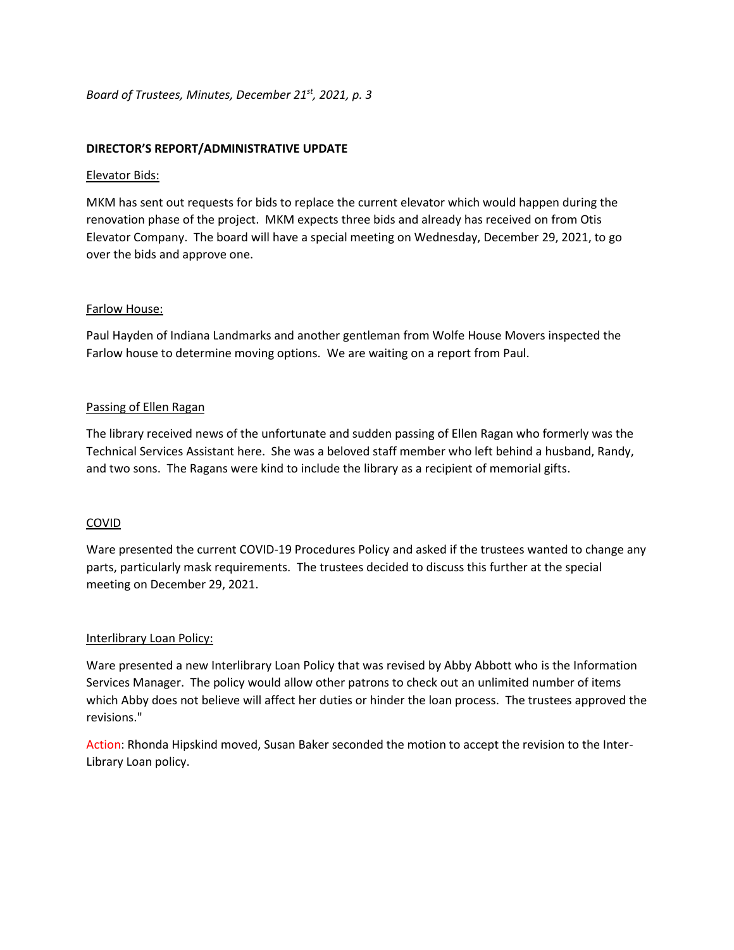## **DIRECTOR'S REPORT/ADMINISTRATIVE UPDATE**

#### Elevator Bids:

MKM has sent out requests for bids to replace the current elevator which would happen during the renovation phase of the project. MKM expects three bids and already has received on from Otis Elevator Company. The board will have a special meeting on Wednesday, December 29, 2021, to go over the bids and approve one.

## Farlow House:

Paul Hayden of Indiana Landmarks and another gentleman from Wolfe House Movers inspected the Farlow house to determine moving options. We are waiting on a report from Paul.

## Passing of Ellen Ragan

The library received news of the unfortunate and sudden passing of Ellen Ragan who formerly was the Technical Services Assistant here. She was a beloved staff member who left behind a husband, Randy, and two sons. The Ragans were kind to include the library as a recipient of memorial gifts.

# COVID

Ware presented the current COVID-19 Procedures Policy and asked if the trustees wanted to change any parts, particularly mask requirements. The trustees decided to discuss this further at the special meeting on December 29, 2021.

#### Interlibrary Loan Policy:

Ware presented a new Interlibrary Loan Policy that was revised by Abby Abbott who is the Information Services Manager. The policy would allow other patrons to check out an unlimited number of items which Abby does not believe will affect her duties or hinder the loan process. The trustees approved the revisions."

Action: Rhonda Hipskind moved, Susan Baker seconded the motion to accept the revision to the Inter-Library Loan policy.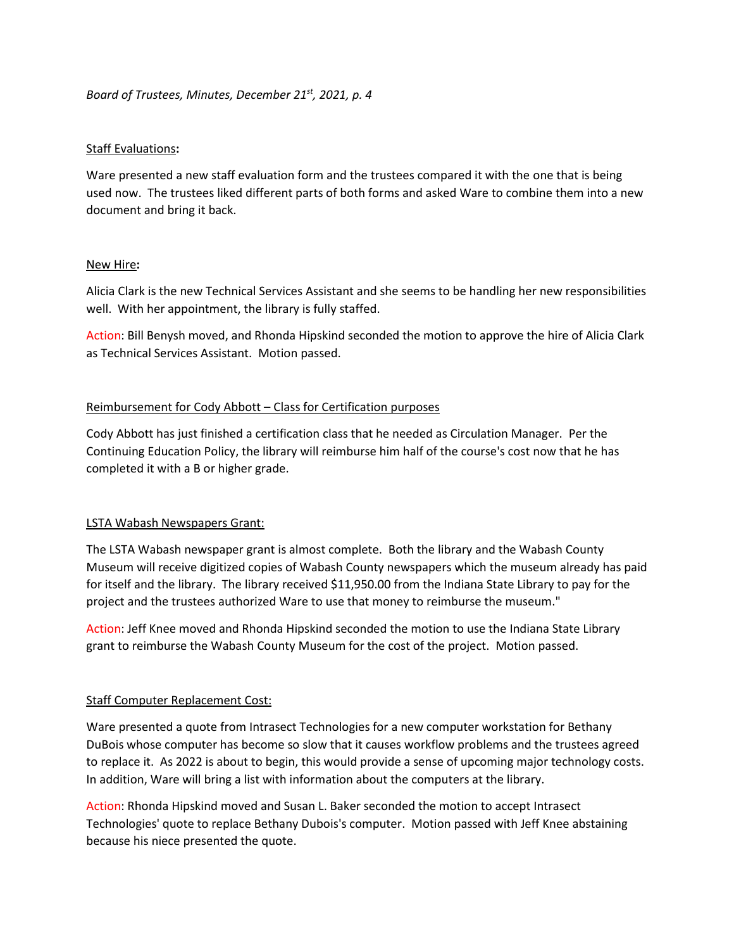## *Board of Trustees, Minutes, December 21st, 2021, p. 4*

## Staff Evaluations**:**

Ware presented a new staff evaluation form and the trustees compared it with the one that is being used now. The trustees liked different parts of both forms and asked Ware to combine them into a new document and bring it back.

## New Hire**:**

Alicia Clark is the new Technical Services Assistant and she seems to be handling her new responsibilities well. With her appointment, the library is fully staffed.

Action: Bill Benysh moved, and Rhonda Hipskind seconded the motion to approve the hire of Alicia Clark as Technical Services Assistant. Motion passed.

## Reimbursement for Cody Abbott – Class for Certification purposes

Cody Abbott has just finished a certification class that he needed as Circulation Manager. Per the Continuing Education Policy, the library will reimburse him half of the course's cost now that he has completed it with a B or higher grade.

#### LSTA Wabash Newspapers Grant:

The LSTA Wabash newspaper grant is almost complete. Both the library and the Wabash County Museum will receive digitized copies of Wabash County newspapers which the museum already has paid for itself and the library. The library received \$11,950.00 from the Indiana State Library to pay for the project and the trustees authorized Ware to use that money to reimburse the museum."

Action: Jeff Knee moved and Rhonda Hipskind seconded the motion to use the Indiana State Library grant to reimburse the Wabash County Museum for the cost of the project. Motion passed.

# Staff Computer Replacement Cost:

Ware presented a quote from Intrasect Technologies for a new computer workstation for Bethany DuBois whose computer has become so slow that it causes workflow problems and the trustees agreed to replace it. As 2022 is about to begin, this would provide a sense of upcoming major technology costs. In addition, Ware will bring a list with information about the computers at the library.

Action: Rhonda Hipskind moved and Susan L. Baker seconded the motion to accept Intrasect Technologies' quote to replace Bethany Dubois's computer. Motion passed with Jeff Knee abstaining because his niece presented the quote.